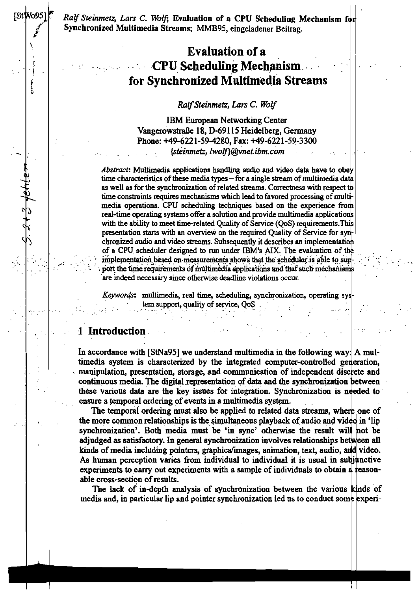Ralf Steinmetz, Lars C. Wolf; Evaluation of a CPU Scheduling Mechanism for Synchronized Multimedia Streams; MMB95, eingeladener Beitrag.

# **Evaluation of a CPU Scheduling Mechanism** for Synchronized Multimedia Streams

Ralf Steinmetz, Lars C. Wolf

**IBM European Networking Center** Vangerowstraße 18, D-69115 Heidelberg, Germany Phone: +49-6221-59-4280, Fax: +49-6221-59-3300 {steinmetz.lwolf}@ynet.ibm.com

Abstract: Multimedia applications handling audio and video data have to obey time characteristics of these media types - for a single stream of multimedia data as well as for the synchronization of related streams. Correctness with respect to time constraints requires mechanisms which lead to favored processing of multimedia operations. CPU scheduling techniques based on the experience from real-time operating systems offer a solution and provide multimedia applications with the ability to meet time-related Quality of Service (QoS) requirements. This presentation starts with an overview on the required Quality of Service for synchronized audio and video streams. Subsequently it describes an implementation of a CPU scheduler designed to run under IBM's AIX. The evaluation of the implementation based on measurements shows that the scheduler is able to support the time requirements of multimedia applications and that such mechanisms are indeed necessary since otherwise deadline violations occur.

Keywords: multimedia, real time, scheduling, synchronization, operating sys tem support, quality of service, QoS

## 1 Introduction

**StWo95** 

l<br>In

In accordance with [StNa95] we understand multimedia in the following way: A multimedia system is characterized by the integrated computer-controlled generation, manipulation, presentation, storage, and communication of independent discrete and continuous media. The digital representation of data and the synchronization between these various data are the key issues for integration. Synchronization is needed to ensure a temporal ordering of events in a multimedia system.

The temporal ordering must also be applied to related data streams, where one of the more common relationships is the simultaneous playback of audio and vided in 'lip synchronization'. Both media must be 'in sync' otherwise the result will not be adjudged as satisfactory. In general synchronization involves relationships between all kinds of media including pointers, graphics/images, animation, text, audio, and video. As human perception varies from individual to individual it is usual in subjunctive experiments to carry out experiments with a sample of individuals to obtain a reasonabie cross-section of results.

The lack of in-depth analysis of synchronization between the various kinds of media and, in particular lip and pointer synchronization led us to conduct some experi-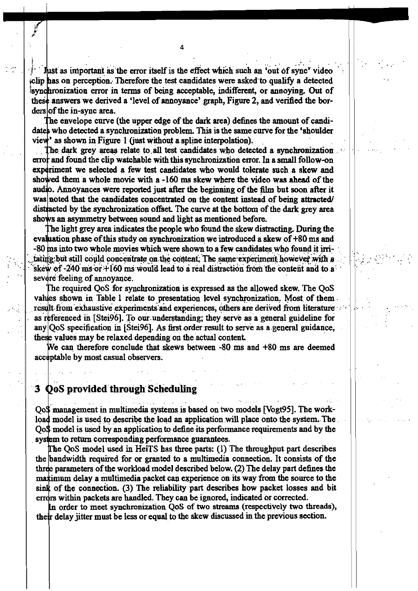Just as important as the error itself is the effect which such an 'out of sync' clip has on perception. Therefore the test candidates were asked to qualify a detected synchronization error in terms of being acceptable, indifferent, or annoying. Out of these answers we derived a 'level of annovance' graph. Figure 2, and verified the borders of the in-sync area.

The envelope curve (the upper edge of the dark area) defines the amount of candidates who detected a synchronization problem. This is the same curve for the 'shoulder view' as shown in Figure 1 (just without a spline interpolation).

The dark grey areas relate to all test candidates who detected a synchronization error and found the clip watchable with this synchronization error. In a small follow-on experiment we selected a few test candidates who would tolerate such a skew and showed them a whole movie with a -160 ms skew where the video was ahead of the audio. Annoyances were reported just after the beginning of the film but soon after it was noted that the candidates concentrated on the content instead of being attracted distracted by the synchronization offset. The curve at the bottom of the dark grey area shows an asymmetry between sound and light as mentioned before.

The light grey area indicates the people who found the skew distracting. During the evaluation phase of this study on synchronization we introduced a skew of +80 ms and  $-80$  ms into two whole movies which were shown to a few candidates who found it irritating but still could concentrate on the content. The same experiment however with a skew of -240 ms or  $+160$  ms would lead to a real distraction from the content and to a severe feeling of annoyance.

The required QoS for synchronization is expressed as the allowed skew. The QoS values shown in Table I relate to presentation level synchronization. Most of them result from exhaustive experiments and experiences, others are derived from literature as referenced in [Stei96]. To our understanding; they serve as a general guideline for any QoS specification in [Stei96]. As first order result to serve as a general guidance. these values may be relaxed depending on the actual content.

We can therefore conclude that skews between -80 ms and +80 ms are deemed acceptable by most casual observers.

# 3 QoS provided through Scheduling

OoS management in multimedia systems is based on two models [Vogt95]. The workload model is used to describe the load an application will place onto the system. The OoS model is used by an application to define its performance requirements and by the system to return corresponding performance guarantees.

The QoS model used in HeiTS has three parts: (1) The throughput part describes the bandwidth required for or granted to a multimedia connection. It consists of the three parameters of the workload model described below. (2) The delay part defines the maximum delay a multimedia packet can experience on its way from the source to the sink of the connection. (3) The reliability part describes how packet losses and bit errors within packets are handled. They can be ignored, indicated or corrected.

In order to meet synchronization QoS of two streams (respectively two threads), their delay jitter must be less or equal to the skew discussed in the previous section.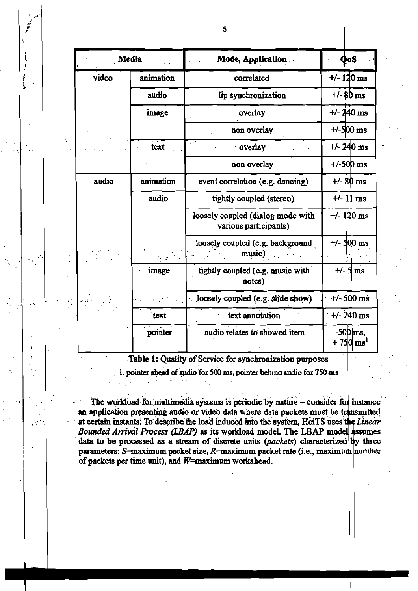| Media<br>as d |           | Mode, Application                                          | QoS                                  |
|---------------|-----------|------------------------------------------------------------|--------------------------------------|
| video         | animation | correlated                                                 | $+/- 120$ ms                         |
|               | audio     | lip synchronization                                        | $+/- 80$ ms                          |
|               | image     | overlay                                                    | $+/- 240$ ms                         |
|               |           | non overlay                                                | $+/-500$ ms                          |
|               | text.     | overlay                                                    | $+/- 240$ ms                         |
|               |           | non overlay                                                | $+/-500$ ms                          |
| audio         | animation | event correlation (e.g. dancing)                           | $+/- 80$ ms                          |
|               | audio     | tightly coupled (stereo)                                   | $+/-$ 11 ms                          |
|               |           | loosely coupled (dialog mode with<br>various participants) | $+/- 120$ ms                         |
|               |           | loosely coupled (e.g. background<br>music)                 | $+/-$ 500 ms                         |
|               | image     | tightly coupled (e.g. music with<br>notes)                 | $+/-$ 5 ms                           |
|               |           | loosely coupled (e.g. slide show)                          | $+/-$ 500 ms                         |
|               | text      | text annotation                                            | $+/- 240$ ms                         |
|               | pointer   | audio relates to showed item                               | $-500$ ms,<br>$+750 \,\mathrm{ms}^1$ |

Table 1: Quality of Service for synchronization purposes

1. pointer shead of audio for 500 ms, pointer behind audio for 750 ms

The workload for multimedia systems is periodic by nature - consider for instance an application presenting audio or video data where data packets must be transmitted at certain instants. To describe the load induced into the system, HeiTS uses the Linear Bounded Arrival Process (LBAP) as its workload model. The LBAP model assumes data to be processed as a stream of discrete units (packets) characterized by three parameters: S=maximum packet size, R=maximum packet rate (i.e., maximum number of packets per time unit), and  $W=$ maximum workahead.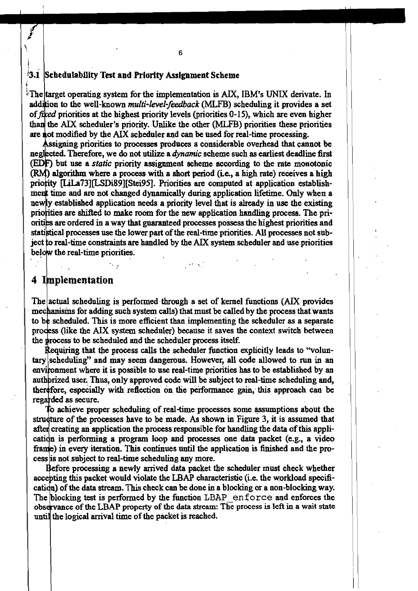#### **13.1**  Schedulabillty Test and **Prlority** Assignment Seheme

<sup>5</sup> The target operating system for the implementation is AIX, IBM's UNIX derivate. In addition to the well-known *multi-level-feedback* (MLFB) scheduling it provides a set of fixed priorities at the highest priority levels (priorities  $0-15$ ), which are even higher than the AIX scheduler's priority. Unlike the other (MLFB) priorities these priorities are not modified by the AIX scheduler and can be used for real-time processing.

Assigning priorities to processes produces a considerable overhead that cannot be neglected. Therefore, we do not utilize a *dynamic* scheme such as earliest deadline first (EDF) but use a *static* priority assignment scheme according to the rate monotonic **(RM)** algorithm where a process with a short period (i.e., a high rate) receives a high priority [LiLa73][LSDi89][Stei95]. Priorities are computed at application establishment time and are not changed dynamically during application lifetime. Only when a newly established application needs a priority level that is already in use the existing priorities are shifted to make room for the new application handling process. The priorities are ordered in a way that guaranteed processes possess the highest priorities and statistical processes use the lower part of the real-time priorities. All processes not subject to real-time constraints are handled by the AIX system scheduler and use priorities below the real-time priorities.

## 4 Implementation

j

(.

The actual scheduling is performed through a set of kernel functions (AIX provides mechanisms for adding such system calls) that must be called by the process that wants to be scheduled. This is more efficient than implementing the scheduler as a separate process (like the AIX system scheduler) because it saves the context switch between the process to be scheduled and the scheduler process itself.

Requiring that the process calls the scheduler function explicitly leads to "voluntary scheduling" and may seem dangerous. However, all code allowed to run in an environment where it is possible to use real-time priorities has to be established by an authorized user. Thus, only approved code will be subject to real-time scheduling and, therefore, especially with reflection on the performance gain, this approach can be regarded as secure.

To achieve proper scheduling of real-time processes some assumptions about the structure of the processes have to be made. As shown in Figure 3, it is assumed that after creating an application the process responsible for handling the data of this application is performing a program loop and processes one data packet (e.g., a video frame) in every iteration. This continues until the application is finished and the process is not subject to real-time scheduling any more.

Before processing a newly arrived data packet the scheduler must check whether accepting this packet would violate the LBAP characteristic (i.e. the workload specification) of the data stream. This check can be done in a blocking or a non-blocking way. The blocking test is performed by the function LBAP enforce and enforces the observance of the LBAP property of the data stream: The process is left in a wait state until the logical arrival time of the packet is reached.

6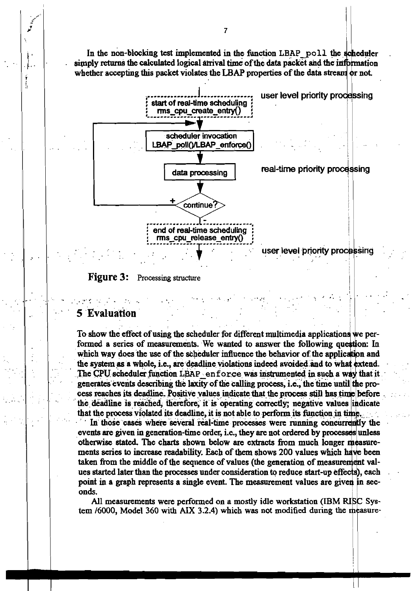In the non-blocking test implemented in the function LBAP poll the scheduler simply returns the calculated logical arrival time of the data packet and the information whether accepting this packet violates the LBAP properties of the data stream or not.



#### **Figure 3:** Processing structure

# **Evaluation**

ĵ,

To show the effect of using the scheduler for different multimedia applications we performed a series of measurements. We wanted to answer the following question: In which way does the use of the scheduler influence the behavior of the application and the system as a whole, i.e., are deadline violations indeed avoided and to what extend. The CPU scheduler function LBAP enforce was instrumented in such a way that it generates events describing the laxity of the calling process, i.e., the time until the process reaches its deadline. Positive values indicate that the process still has time before the deadline is reached, therefore, it is operating correctly; negative values indicate that the process violated its deadline, it is not able to perform its function in time.

In those cases where several real-time processes were running concurrently the events are given in generation-time order, i.e., they are not ordered by processes unless otherwise stated. The charts shown below are extracts from much longer measurements series to increase readability. Each of them shows 200 values which have been taken from the middle of the sequence of values (the generation of measurement values started later than the processes under consideration to reduce start-up effects), each point in a graph represents a single event. The measurement values are given in seconds.

All measurements were performed on a mostly idle workstation (IBM RISC System /6000, Model 360 with AIX 3.2.4) which was not modified during the measure-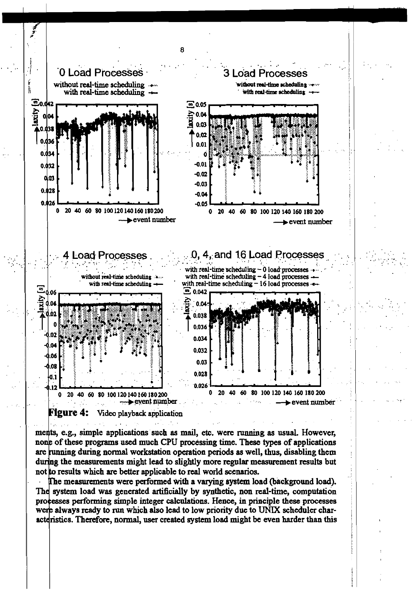



ments, e.g., simple applications such as mail, etc. were running as usual. However, none of these programs used much CPU processing time. These types of applications are running during normal workstation operation periods as well, thus, disabling them during the measurements might lead to slightly more regular measurement results but not to results which are better applicable to real world scenarios.

The measurements were performed with a varying system load (background load). The system load was generated artificially by synthetic, non real-time, computation processes performing simple integer calculations. Hence, in principle these processes were always ready to run which also lead to low priority due to UNIX scheduler characteristics. Therefore, normal, user created system load might be even harder than this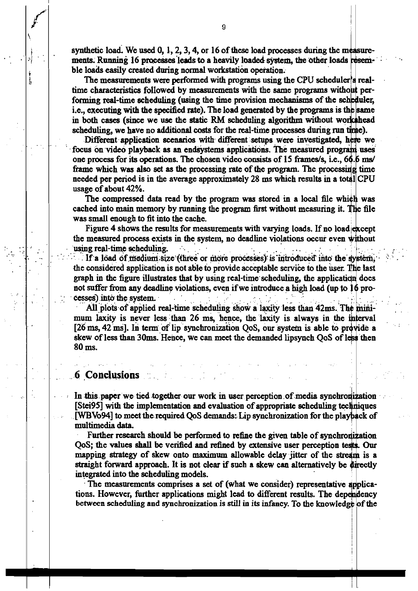synthetic load. We used  $0, 1, 2, 3, 4$ , or 16 of these load processes during the measurements. Running 16 processes leads to a heavily loaded system, the other loads resemble loads easily created during normal workstation operation.

The measurements were performed with programs using the CPU scheduler's realtime characteristics followed by measurements with the same programs without performing real-time scheduling (using the time provision mechanisms of the scheduler, i.e., executing with the specified rate). The load generated by the programs is the same in both cases (since we use the static RM scheduling algorithm without workshead scheduling, we have no additional costs for the real-time processes during run time).

Different application scenarios with different setups were investigated, here we focus on video playback as an endsystems applications. The measured program uses one process for its operations. The chosen video consists of 15 frames/s, i.e., 66.6 ms/ frame which was also set as the processing rate of the program. The processing time needed per period is in the average approximately 28 ms which results in a total CPU usage of about 42%.

The compressed data read by the program was stored in a local file which was cached into main memory by running the program first without measuring it. The file was small enough to fit into the cache.

Figure 4 shows the results for measurements with varying loads. If no load except the measured process exists in the system, no deadline violations occur even without using real-time scheduling.  $\sim 10$ 

If a load of medium size (three or more processes) is introduced into the system, the considered application is not able to provide acceptable service to the user. The last graph in the figure illustrates that by using real-time scheduling, the application does not suffer from any deadline violations, even if we introduce a high load (up to 16 processes) into the system.

All plots of applied real-time scheduling show a laxity less than 42ms. The minimum laxity is never less than 26 ms, hence, the laxity is always in the interval [26 ms, 42 ms]. In term of lip synchronization QoS, our system is able to provide a skew of less than 30ms. Hence, we can meet the demanded lipsynch QoS of less then  $80$  ms.

# 6 Conclusions and

 $\frac{1}{2}$ 

In this paper we tied together our work in user perception of media synchronization [Stei95] with the implementation and evaluation of appropriate scheduling techniques [WBVo94] to meet the required QoS demands: Lip synchronization for the playback of multimedia data.

Further research should be performed to refine the given table of synchronization QoS; the values shall be verified and refined by extensive user perception tests. Our mapping strategy of skew onto maximum allowable delay jitter of the stream is a straight forward approach. It is not clear if such a skew can alternatively be directly integrated into the scheduling models.

The measurements comprises a set of (what we consider) representative applications. However, further applications might lead to different results. The dependency between scheduling and synchronization is still in its infancy. To the knowledge of the